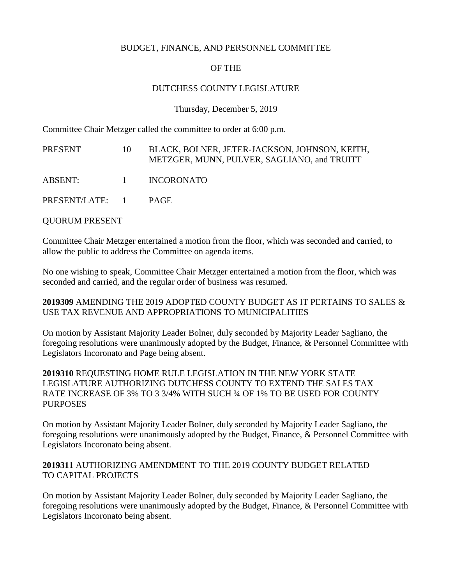#### BUDGET, FINANCE, AND PERSONNEL COMMITTEE

# OF THE

#### DUTCHESS COUNTY LEGISLATURE

Thursday, December 5, 2019

Committee Chair Metzger called the committee to order at 6:00 p.m.

| PRESENT         | 10       | BLACK, BOLNER, JETER-JACKSON, JOHNSON, KEITH,<br>METZGER, MUNN, PULVER, SAGLIANO, and TRUITT |
|-----------------|----------|----------------------------------------------------------------------------------------------|
| ABSENT:         | $\sim$ 1 | <b>INCORONATO</b>                                                                            |
| PRESENT/LATE: 1 |          | <b>PAGE</b>                                                                                  |

QUORUM PRESENT

Committee Chair Metzger entertained a motion from the floor, which was seconded and carried, to allow the public to address the Committee on agenda items.

No one wishing to speak, Committee Chair Metzger entertained a motion from the floor, which was seconded and carried, and the regular order of business was resumed.

## **2019309** AMENDING THE 2019 ADOPTED COUNTY BUDGET AS IT PERTAINS TO SALES & USE TAX REVENUE AND APPROPRIATIONS TO MUNICIPALITIES

On motion by Assistant Majority Leader Bolner, duly seconded by Majority Leader Sagliano, the foregoing resolutions were unanimously adopted by the Budget, Finance, & Personnel Committee with Legislators Incoronato and Page being absent.

#### **2019310** REQUESTING HOME RULE LEGISLATION IN THE NEW YORK STATE LEGISLATURE AUTHORIZING DUTCHESS COUNTY TO EXTEND THE SALES TAX RATE INCREASE OF 3% TO 3 3/4% WITH SUCH ¾ OF 1% TO BE USED FOR COUNTY PURPOSES

On motion by Assistant Majority Leader Bolner, duly seconded by Majority Leader Sagliano, the foregoing resolutions were unanimously adopted by the Budget, Finance, & Personnel Committee with Legislators Incoronato being absent.

## **2019311** AUTHORIZING AMENDMENT TO THE 2019 COUNTY BUDGET RELATED TO CAPITAL PROJECTS

On motion by Assistant Majority Leader Bolner, duly seconded by Majority Leader Sagliano, the foregoing resolutions were unanimously adopted by the Budget, Finance, & Personnel Committee with Legislators Incoronato being absent.